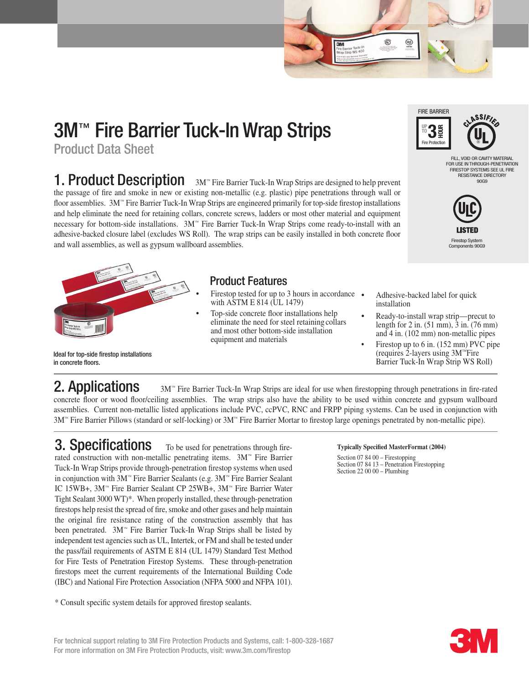# 3M™ Fire Barrier Tuck-In Wrap Strips

Product Data Sheet

**1. Product Description** 3M<sup>™</sup> Fire Barrier Tuck-In Wrap Strips are designed to help prevent the passage of fire and smoke in new or existing non-metallic (e.g. plastic) pipe penetrations through wall or floor assemblies. 3M™ Fire Barrier Tuck-In Wrap Strips are engineered primarily for top-side firestop installations and help eliminate the need for retaining collars, concrete screws, ladders or most other material and equipment necessary for bottom-side installations. 3M™ Fire Barrier Tuck-In Wrap Strips come ready-to-install with an adhesive-backed closure label (excludes WS Roll). The wrap strips can be easily installed in both concrete floor and wall assemblies, as well as gypsum wallboard assemblies.



#### Ideal for top-side firestop installations in concrete floors.

### Product Features

- Firestop tested for up to 3 hours in accordance  $\bullet$  with ASTM E 814 (UL 1479)
- Top-side concrete floor installations help eliminate the need for steel retaining collars and most other bottom-side installation equipment and materials



Ö

 $\underline{\textcircled{\tiny{12}}}$ 

FILL, VOID OR CAVITY MATERIAL

FOR USE IN THROUGH-PENETRATION FIRESTOP SYSTEMS SEE UL FIRE RESISTANCE DIRECTORY 90G9



Adhesive-backed label for quick installation

- Ready-to-install wrap strip—precut to length for 2 in. (51 mm), 3 in. (76 mm) and 4 in. (102 mm) non-metallic pipes
- Firestop up to  $6$  in.  $(152 \text{ mm})$  PVC pipe (requires 2-layers using 3M™Fire Barrier Tuck-In Wrap Strip WS Roll)

**2. Applications** 3M™ Fire Barrier Tuck-In Wrap Strips are ideal for use when firestopping through penetrations in fire-rated concrete floor or wood floor/ceiling assemblies. The wrap strips also have the ability to be used within concrete and gypsum wallboard assemblies. Current non-metallic listed applications include PVC, ccPVC, RNC and FRPP piping systems. Can be used in conjunction with 3M™ Fire Barrier Pillows (standard or self-locking) or 3M™ Fire Barrier Mortar to firestop large openings penetrated by non-metallic pipe).

## **3. Specifications** To be used for penetrations through fire-

rated construction with non-metallic penetrating items. 3M™ Fire Barrier Tuck-In Wrap Strips provide through-penetration firestop systems when used in conjunction with 3M™ Fire Barrier Sealants (e.g. 3M™ Fire Barrier Sealant IC 15WB+, 3M™ Fire Barrier Sealant CP 25WB+, 3M™ Fire Barrier Water Tight Sealant 3000 WT)\*. When properly installed, these through-penetration firestops help resist the spread of fire, smoke and other gases and help maintain the original fire resistance rating of the construction assembly that has been penetrated.  $3M<sup>m</sup>$  Fire Barrier Tuck-In Wrap Strips shall be listed by independent test agencies such as UL, Intertek, or FM and shall be tested under the pass/fail requirements of ASTM E 814 (UL 1479) Standard Test Method for Fire Tests of Penetration Firestop Systems. These through-penetration firestops meet the current requirements of the International Building Code (IBC) and National Fire Protection Association (NFPA 5000 and NFPA 101).

\* Consult specific system details for approved firestop sealants.

### **Typically Specified MasterFormat (2004)**

Section 07 84 00 – Firestopping Section 07 84 13 – Penetration Firestopping Section 22 00 00 – Plumbing